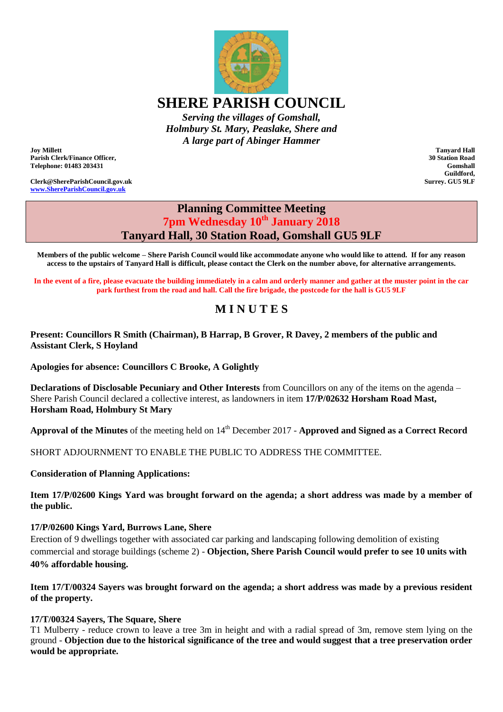**SHERE PARISH COUNCIL**

*Serving the villages of Gomshall, Holmbury St. Mary, Peaslake, Shere and A large part of Abinger Hammer*

**Joy Millett Parish Clerk/Finance Officer, Telephone: 01483 203431**

**Clerk@ShereParishCouncil.gov.uk [www.ShereParishCouncil.gov.uk](http://www.shereparishcouncil.gov.uk/)**

# **Planning Committee Meeting 7pm Wednesday 10th January 2018 Tanyard Hall, 30 Station Road, Gomshall GU5 9LF**

**Members of the public welcome – Shere Parish Council would like accommodate anyone who would like to attend. If for any reason access to the upstairs of Tanyard Hall is difficult, please contact the Clerk on the number above, for alternative arrangements.**

**In the event of a fire, please evacuate the building immediately in a calm and orderly manner and gather at the muster point in the car park furthest from the road and hall. Call the fire brigade, the postcode for the hall is GU5 9LF**

## **M I N U T E S**

**Present: Councillors R Smith (Chairman), B Harrap, B Grover, R Davey, 2 members of the public and Assistant Clerk, S Hoyland**

**Apologies for absence: Councillors C Brooke, A Golightly**

**Declarations of Disclosable Pecuniary and Other Interests** from Councillors on any of the items on the agenda – Shere Parish Council declared a collective interest, as landowners in item **17/P/02632 Horsham Road Mast, Horsham Road, Holmbury St Mary**

**Approval of the Minutes** of the meeting held on 14<sup>th</sup> December 2017 - **Approved and Signed as a Correct Record** 

SHORT ADJOURNMENT TO ENABLE THE PUBLIC TO ADDRESS THE COMMITTEE.

**Consideration of Planning Applications:**

**Item 17/P/02600 Kings Yard was brought forward on the agenda; a short address was made by a member of the public.**

#### **17/P/02600 Kings Yard, Burrows Lane, Shere**

Erection of 9 dwellings together with associated car parking and landscaping following demolition of existing commercial and storage buildings (scheme 2) - **Objection, Shere Parish Council would prefer to see 10 units with 40% affordable housing.**

**Item 17/T/00324 Sayers was brought forward on the agenda; a short address was made by a previous resident of the property.**

#### **17/T/00324 Sayers, The Square, Shere**

T1 Mulberry - reduce crown to leave a tree 3m in height and with a radial spread of 3m, remove stem lying on the ground - **Objection due to the historical significance of the tree and would suggest that a tree preservation order would be appropriate.**

**Tanyard Hall 30 Station Road Gomshall Guildford, Surrey. GU5 9LF**

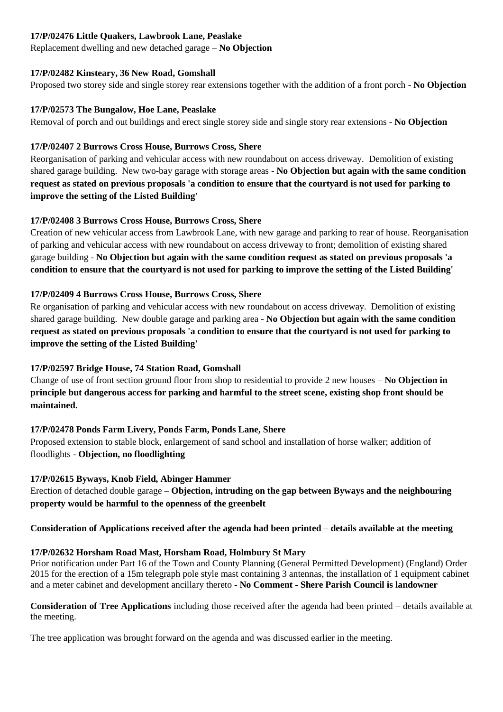#### **17/P/02476 Little Quakers, Lawbrook Lane, Peaslake**

Replacement dwelling and new detached garage – **No Objection**

#### **17/P/02482 Kinsteary, 36 New Road, Gomshall**

Proposed two storey side and single storey rear extensions together with the addition of a front porch - **No Objection**

### **17/P/02573 The Bungalow, Hoe Lane, Peaslake**

Removal of porch and out buildings and erect single storey side and single story rear extensions - **No Objection**

### **17/P/02407 2 Burrows Cross House, Burrows Cross, Shere**

Reorganisation of parking and vehicular access with new roundabout on access driveway. Demolition of existing shared garage building. New two-bay garage with storage areas - **No Objection but again with the same condition request as stated on previous proposals 'a condition to ensure that the courtyard is not used for parking to improve the setting of the Listed Building'**

### **17/P/02408 3 Burrows Cross House, Burrows Cross, Shere**

Creation of new vehicular access from Lawbrook Lane, with new garage and parking to rear of house. Reorganisation of parking and vehicular access with new roundabout on access driveway to front; demolition of existing shared garage building - **No Objection but again with the same condition request as stated on previous proposals 'a condition to ensure that the courtyard is not used for parking to improve the setting of the Listed Building'**

### **17/P/02409 4 Burrows Cross House, Burrows Cross, Shere**

Re organisation of parking and vehicular access with new roundabout on access driveway. Demolition of existing shared garage building. New double garage and parking area - **No Objection but again with the same condition request as stated on previous proposals 'a condition to ensure that the courtyard is not used for parking to improve the setting of the Listed Building'**

## **17/P/02597 Bridge House, 74 Station Road, Gomshall**

Change of use of front section ground floor from shop to residential to provide 2 new houses – **No Objection in principle but dangerous access for parking and harmful to the street scene, existing shop front should be maintained.**

#### **17/P/02478 Ponds Farm Livery, Ponds Farm, Ponds Lane, Shere**

Proposed extension to stable block, enlargement of sand school and installation of horse walker; addition of floodlights - **Objection, no floodlighting**

## **17/P/02615 Byways, Knob Field, Abinger Hammer**

Erection of detached double garage – **Objection, intruding on the gap between Byways and the neighbouring property would be harmful to the openness of the greenbelt**

## **Consideration of Applications received after the agenda had been printed – details available at the meeting**

## **17/P/02632 Horsham Road Mast, Horsham Road, Holmbury St Mary**

Prior notification under Part 16 of the Town and County Planning (General Permitted Development) (England) Order 2015 for the erection of a 15m telegraph pole style mast containing 3 antennas, the installation of 1 equipment cabinet and a meter cabinet and development ancillary thereto - **No Comment - Shere Parish Council is landowner**

**Consideration of Tree Applications** including those received after the agenda had been printed – details available at the meeting.

The tree application was brought forward on the agenda and was discussed earlier in the meeting.